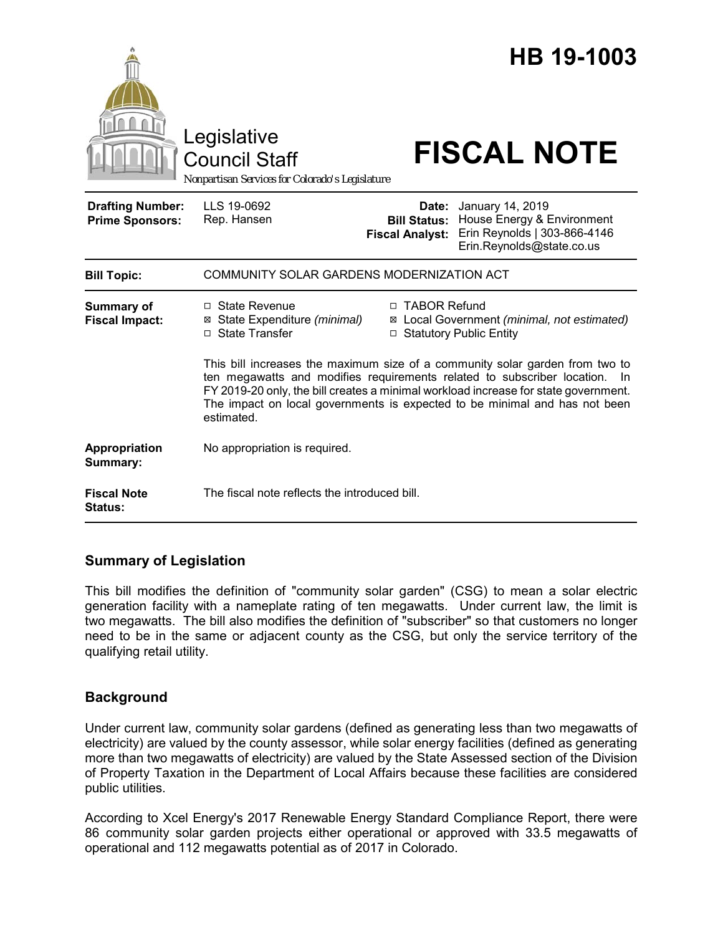|                                                   | Legislative<br><b>Council Staff</b><br>Nonpartisan Services for Colorado's Legislature                                                                                                                                                                                                                                                             |                                                                                            | HB 19-1003<br><b>FISCAL NOTE</b>                                                                                  |  |
|---------------------------------------------------|----------------------------------------------------------------------------------------------------------------------------------------------------------------------------------------------------------------------------------------------------------------------------------------------------------------------------------------------------|--------------------------------------------------------------------------------------------|-------------------------------------------------------------------------------------------------------------------|--|
| <b>Drafting Number:</b><br><b>Prime Sponsors:</b> | LLS 19-0692<br>Rep. Hansen                                                                                                                                                                                                                                                                                                                         | <b>Bill Status:</b><br><b>Fiscal Analyst:</b>                                              | Date: January 14, 2019<br>House Energy & Environment<br>Erin Reynolds   303-866-4146<br>Erin.Reynolds@state.co.us |  |
| <b>Bill Topic:</b>                                | COMMUNITY SOLAR GARDENS MODERNIZATION ACT                                                                                                                                                                                                                                                                                                          |                                                                                            |                                                                                                                   |  |
| Summary of<br><b>Fiscal Impact:</b>               | □ State Revenue<br>⊠ State Expenditure (minimal)<br>□ State Transfer                                                                                                                                                                                                                                                                               | □ TABOR Refund<br>⊠ Local Government (minimal, not estimated)<br>□ Statutory Public Entity |                                                                                                                   |  |
|                                                   | This bill increases the maximum size of a community solar garden from two to<br>ten megawatts and modifies requirements related to subscriber location.<br>- In<br>FY 2019-20 only, the bill creates a minimal workload increase for state government.<br>The impact on local governments is expected to be minimal and has not been<br>estimated. |                                                                                            |                                                                                                                   |  |
| Appropriation<br>Summary:                         | No appropriation is required.                                                                                                                                                                                                                                                                                                                      |                                                                                            |                                                                                                                   |  |
| <b>Fiscal Note</b><br><b>Status:</b>              | The fiscal note reflects the introduced bill.                                                                                                                                                                                                                                                                                                      |                                                                                            |                                                                                                                   |  |

# **Summary of Legislation**

This bill modifies the definition of "community solar garden" (CSG) to mean a solar electric generation facility with a nameplate rating of ten megawatts. Under current law, the limit is two megawatts. The bill also modifies the definition of "subscriber" so that customers no longer need to be in the same or adjacent county as the CSG, but only the service territory of the qualifying retail utility.

# **Background**

Under current law, community solar gardens (defined as generating less than two megawatts of electricity) are valued by the county assessor, while solar energy facilities (defined as generating more than two megawatts of electricity) are valued by the State Assessed section of the Division of Property Taxation in the Department of Local Affairs because these facilities are considered public utilities.

According to Xcel Energy's 2017 Renewable Energy Standard Compliance Report, there were 86 community solar garden projects either operational or approved with 33.5 megawatts of operational and 112 megawatts potential as of 2017 in Colorado.